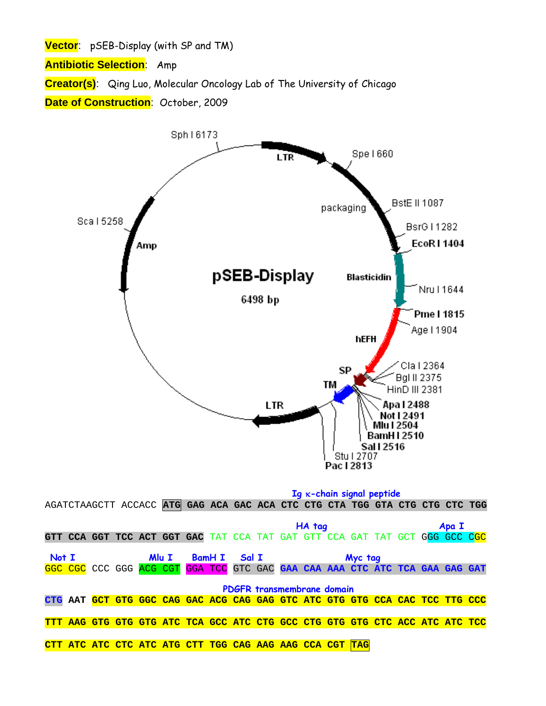**Vector**: pSEB-Display (with SP and TM)

**Antibiotic Selection**: Amp

**Creator(s)**: Qing Luo, Molecular Oncology Lab of The University of Chicago

**Date of Construction**: October, 2009

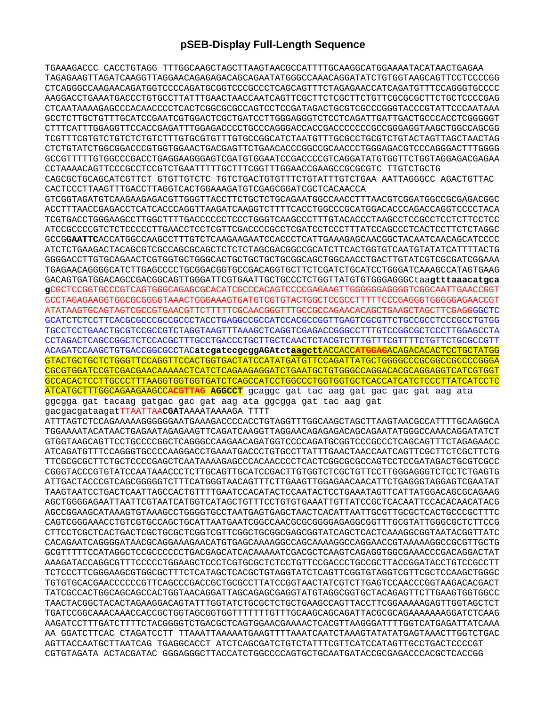## **pSEB-Display Full-Length Sequence**

TGAAAGACCC CACCTGTAGG TTTGGCAAGCTAGCTTAAGTAACGCCATTTTGCAAGGCATGGAAAATACATAACTGAGAA TAGAGAAGTTAGATCAAGGTTAGGAACAGAGAGACAGCAGAATATGGGCCAAACAGGATATCTGTGGTAAGCAGTTCCTCCCCGG CTCAGGGCCAAGAACAGATGGTCCCCAGATGCGGTCCCGCCCTCAGCAGTTTCTAGAGAACCATCAGATGTTTCCAGGGTGCCCC AAGGACCTGAAATGACCCTGTGCCTTATTTGAACTAACCAATCAGTTCGCTTCTCGCTTCTGTTCGCGCGCTTCTGCTCCCCGAG CTCAATAAAAGAGCCCACAACCCCTCACTCGGCGCGCCAGTCCTCCGATAGACTGCGTCGCCCGGGTACCCGTATTCCCAATAAA GCCTCTTGCTGTTTGCATCCGAATCGTGGACTCGCTGATCCTTGGGAGGGTCTCCTCAGATTGATTGACTGCCCACCTCGGGGGT CTTTCATTTGGAGGTTCCACCGAGATTTGGAGACCCCTGCCCAGGGACCACCGACCCCCCCGCCGGGAGGTAAGCTGGCCAGCGG TCGTTTCGTGTCTGTCTCTGTCTTTGTGCGTGTTTGTGCCGGCATCTAATGTTTGCGCCTGCGTCTGTACTAGTTAGCTAACTAG CTCTGTATCTGGCGGACCCGTGGTGGAACTGACGAGTTCTGAACACCCGGCCGCAACCCTGGGAGACGTCCCAGGGACTTTGGGG GCCGTTTTTGTGGCCCGACCTGAGGAAGGGAGTCGATGTGGAATCCGACCCCGTCAGGATATGTGGTTCTGGTAGGAGACGAGAA CCTAAAACAGTTCCCGCCTCCGTCTGAATTTTTGCTTTCGGTTTGGAACCGAAGCCGCGCGTC TTGTCTGCTG CAGCGCTGCAGCATCGTTCT GTGTTGTCTC TGTCTGACTGTGTTTCTGTATTTGTCTGAA AATTAGGGCC AGACTGTTAC CACTCCCTTAAGTTTGACCTTAGGTCACTGGAAAGATGTCGAGCGGATCGCTCACAACCA GTCGGTAGATGTCAAGAAGAGACGTTGGGTTACCTTCTGCTCTGCAGAATGGCCAACCTTTAACGTCGGATGGCCGCGAGACGGC ACCTTTAACCGAGACCTCATCACCCAGGTTAAGATCAAGGTCTTTTCACCTGGCCCGCATGGACACCCAGACCAGGTCCCCTACA TCGTGACCTGGGAAGCCTTGGCTTTTGACCCCCCTCCCTGGGTCAAGCCCTTTGTACACCCTAAGCCTCCGCCTCCTCTTCCTCC ATCCGCCCCGTCTCTCCCCCTTGAACCTCCTCGTTCGACCCCGCCTCGATCCTCCCTTTATCCAGCCCTCACTCCTTCTCTAGGC GCCG**GAATTC**ACCATGGCCAAGCCTTTGTCTCAAGAAGAATCCACCCTCATTGAAAGAGCAACGGCTACAATCAACAGCATCCCC ATCTCTGAAGACTACAGCGTCGCCAGCGCAGCTCTCTCTAGCGACGGCCGCATCTTCACTGGTGTCAATGTATATCATTTTACTG GGGGACCTTGTGCAGAACTCGTGGTGCTGGGCACTGCTGCTGCTGCGGCAGCTGGCAACCTGACTTGTATCGTCGCGATCGGAAA TGAGAACAGGGGCATCTTGAGCCCCTGCGGACGGTGCCGACAGGTGCTTCTCGATCTGCATCCTGGGATCAAAGCCATAGTGAAG GACAGTGATGGACAGCCGACGGCAGTTGGGATTCGTGAATTGCTGCCCTCTGGTTATGTGTGGGAGGGCtaa**gtttaaacatgca**

**g**CGCTCCGGTGCCCGTCAGTGGGCAGAGCGCACATCGCCCACAGTCCCCGAGAAGTTGGGGGGAGGGGTCGGCAATTGAACCGGT GCCTAGAGAAGGTGGCGCGGGGTAAACTGGGAAAGTGATGTCGTGTACTGGCTCCGCCTTTTTCCCGAGGGTGGGGGAGAACCGT ATATAAGTGCAGTAGTCGCCGTGAACGTTCTTTTTCGCAACGGGTTTGCCGCCAGAACACAGCTGAAGCTAGCTTCGAGGGGCTC GCATCTCTCCTTCACGCGCCCGCCGCCCTACCTGAGGCCGCCATCCACGCCGGTTGAGTCGCGTTCTGCCGCCTCCCGCCTGTGG TGCCTCCTGAACTGCGTCCGCCGTCTAGGTAAGTTTAAAGCTCAGGTCGAGACCGGGCCTTTGTCCGGCGCTCCCTTGGAGCCTA CCTAGACTCAGCCGGCTCTCCACGCTTTGCCTGACCCTGCTTGCTCAACTCTACGTCTTTGTTTCGTTTTCTGTTCTGCGCCGTT ACAGATCCAAGCTGTGACCGGCGCCTAC**atcgatccgcggAGAtctaagctt**ACCACC**ATGGAG**ACAGACACACTCCTGCTATGG GTACTGCTGCTCTGGGTTCCAGGTTCCACTGGTGACTATCCATATGATGTTCCAGATTATGCTGGGGCCCGCGGCCGCCCCGGGA CGCGTGGATCCGTCGACGAACAAAAACTCATCTCAGAAGAGGATCTGAATGCTGTGGGCCAGGACACGCAGGAGGTCATCGTGGT GCCACACTCCTTGCCCTTTAAGGTGGTGGTGATCTCAGCCATCCTGGCCCTGGTGGTGCTCACCATCATCTCCCTTATCATCCTC ATCATGCTTTGGCAGAAGAAGCC**ACGTTAG AGGCCT** gcaggc gat tac aag gat gac gac gat aag ata ggcgga gat tacaag gatgac gac gat aag ata ggcgga gat tac aag gat

gacgacgataagatTTAATTAA**CGAT**AAAATAAAAGA TTTT

ATTTAGTCTCCAGAAAAAGGGGGGAATGAAAGACCCCACCTGTAGGTTTGGCAAGCTAGCTTAAGTAACGCCATTTTGCAAGGCA TGGAAAATACATAACTGAGAATAGAGAAGTTCAGATCAAGGTTAGGAACAGAGAGACAGCAGAATATGGGCCAAACAGGATATCT GTGGTAAGCAGTTCCTGCCCCGGCTCAGGGCCAAGAACAGATGGTCCCCAGATGCGGTCCCGCCCTCAGCAGTTTCTAGAGAACC ATCAGATGTTTCCAGGGTGCCCCAAGGACCTGAAATGACCCTGTGCCTTATTTGAACTAACCAATCAGTTCGCTTCTCGCTTCTG TTCGCGCGCTTCTGCTCCCCGAGCTCAATAAAAGAGCCCACAACCCCTCACTCGGCGCGCCAGTCCTCCGATAGACTGCGTCGCC CGGGTACCCGTGTATCCAATAAACCCTCTTGCAGTTGCATCCGACTTGTGGTCTCGCTGTTCCTTGGGAGGGTCTCCTCTGAGTG ATTGACTACCCGTCAGCGGGGGTCTTTCATGGGTAACAGTTTCTTGAAGTTGGAGAACAACATTCTGAGGGTAGGAGTCGAATAT TAAGTAATCCTGACTCAATTAGCCACTGTTTTGAATCCACATACTCCAATACTCCTGAAATAGTTCATTATGGACAGCGCAGAAG AGCTGGGGAGAATTAATTCGTAATCATGGTCATAGCTGTTTCCTGTGTGAAATTGTTATCCGCTCACAATTCCACACAACATACG AGCCGGAAGCATAAAGTGTAAAGCCTGGGGTGCCTAATGAGTGAGCTAACTCACATTAATTGCGTTGCGCTCACTGCCCGCTTTC CAGTCGGGAAACCTGTCGTGCCAGCTGCATTAATGAATCGGCCAACGCGCGGGGAGAGGCGGTTTGCGTATTGGGCGCTCTTCCG CTTCCTCGCTCACTGACTCGCTGCGCTCGGTCGTTCGGCTGCGGCGAGCGGTATCAGCTCACTCAAAGGCGGTAATACGGTTATC CACAGAATCAGGGGATAACGCAGGAAAGAACATGTGAGCAAAAGGCCAGCAAAAGGCCAGGAACCGTAAAAAGGCCGCGTTGCTG GCGTTTTTCCATAGGCTCCGCCCCCCTGACGAGCATCACAAAAATCGACGCTCAAGTCAGAGGTGGCGAAACCCGACAGGACTAT AAAGATACCAGGCGTTTCCCCCTGGAAGCTCCCTCGTGCGCTCTCCTGTTCCGACCCTGCCGCTTACCGGATACCTGTCCGCCTT TCTCCCTTCGGGAAGCGTGGCGCTTTCTCATAGCTCACGCTGTAGGTATCTCAGTTCGGTGTAGGTCGTTCGCTCCAAGCTGGGC TGTGTGCACGAACCCCCCGTTCAGCCCGACCGCTGCGCCTTATCCGGTAACTATCGTCTTGAGTCCAACCCGGTAAGACACGACT TATCGCCACTGGCAGCAGCCACTGGTAACAGGATTAGCAGAGCGAGGTATGTAGGCGGTGCTACAGAGTTCTTGAAGTGGTGGCC TAACTACGGCTACACTAGAAGGACAGTATTTGGTATCTGCGCTCTGCTGAAGCCAGTTACCTTCGGAAAAAGAGTTGGTAGCTCT TGATCCGGCAAACAAACCACCGCTGGTAGCGGTGGTTTTTTTGTTTGCAAGCAGCAGATTACGCGCAGAAAAAAAGGATCTCAAG AAGATCCTTTGATCTTTTCTACGGGGTCTGACGCTCAGTGGAACGAAAACTCACGTTAAGGGATTTTGGTCATGAGATTATCAAA AA GGATCTTCAC CTAGATCCTT TTAAATTAAAAATGAAGTTTTAAATCAATCTAAAGTATATATGAGTAAACTTGGTCTGAC AGTTACCAATGCTTAATCAG TGAGGCACCT ATCTCAGCGATCTGTCTATTTCGTTCATCCATAGTTGCCTGACTCCCCGT CGTGTAGATA ACTACGATAC GGGAGGGCTTACCATCTGGCCCCAGTGCTGCAATGATACCGCGAGACCCACGCTCACCGG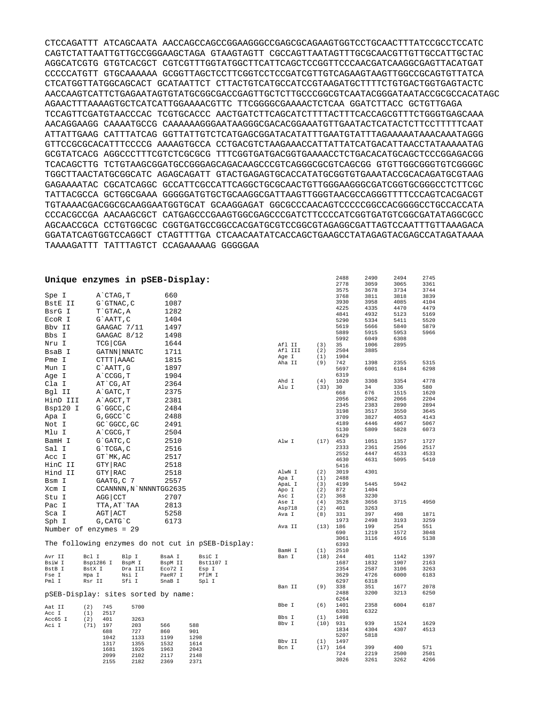CTCCAGATTT ATCAGCAATA AACCAGCCAGCCGGAAGGGCCGAGCGCAGAAGTGGTCCTGCAACTTTATCCGCCTCCATC CAGTCTATTAATTGTTGCCGGGAAGCTAGA GTAAGTAGTT CGCCAGTTAATAGTTTGCGCAACGTTGTTGCCATTGCTAC AGGCATCGTG GTGTCACGCT CGTCGTTTGGTATGGCTTCATTCAGCTCCGGTTCCCAACGATCAAGGCGAGTTACATGAT CCCCCATGTT GTGCAAAAAA GCGGTTAGCTCCTTCGGTCCTCCGATCGTTGTCAGAAGTAAGTTGGCCGCAGTGTTATCA CTCATGGTTATGGCAGCACT GCATAATTCT CTTACTGTCATGCCATCCGTAAGATGCTTTTCTGTGACTGGTGAGTACTC AACCAAGTCATTCTGAGAATAGTGTATGCGGCGACCGAGTTGCTCTTGCCCGGCGTCAATACGGGATAATACCGCGCCACATAGC AGAACTTTAAAAGTGCTCATCATTGGAAAACGTTC TTCGGGGCGAAAACTCTCAA GGATCTTACC GCTGTTGAGA TCCAGTTCGATGTAACCCAC TCGTGCACCC AACTGATCTTCAGCATCTTTTACTTTCACCAGCGTTTCTGGGTGAGCAAA AACAGGAAGG CAAAATGCCG CAAAAAAGGGAATAAGGGCGACACGGAAATGTTGAATACTCATACTCTTCCTTTTTCAAT ATTATTGAAG CATTTATCAG GGTTATTGTCTCATGAGCGGATACATATTTGAATGTATTTAGAAAAATAAACAAATAGGG GTTCCGCGCACATTTCCCCG AAAAGTGCCA CCTGACGTCTAAGAAACCATTATTATCATGACATTAACCTATAAAAATAG GCGTATCACG AGGCCCTTTCGTCTCGCGCG TTTCGGTGATGACGGTGAAAACCTCTGACACATGCAGCTCCCGGAGACGG TCACAGCTTG TCTGTAAGCGGATGCCGGGAGCAGACAAGCCCGTCAGGGCGCGTCAGCGG GTGTTGGCGGGTGTCGGGGC TGGCTTAACTATGCGGCATC AGAGCAGATT GTACTGAGAGTGCACCATATGCGGTGTGAAATACCGCACAGATGCGTAAG GAGAAAATAC CGCATCAGGC GCCATTCGCCATTCAGGCTGCGCAACTGTTGGGAAGGGCGATCGGTGCGGGCCTCTTCGC TATTACGCCA GCTGGCGAAA GGGGGATGTGCTGCAAGGCGATTAAGTTGGGTAACGCCAGGGTTTTCCCAGTCACGACGT TGTAAAACGACGGCGCAAGGAATGGTGCAT GCAAGGAGAT GGCGCCCAACAGTCCCCCGGCCACGGGGCCTGCCACCATA CCCACGCCGA AACAAGCGCT CATGAGCCCGAAGTGGCGAGCCCGATCTTCCCCATCGGTGATGTCGGCGATATAGGCGCC AGCAACCGCA CCTGTGGCGC CGGTGATGCCGGCCACGATGCGTCCGGCGTAGAGGCGATTAGTCCAATTTGTTAAAGACA GGATATCAGTGGTCCAGGCT CTAGTTTTGA CTCAACAATATCACCAGCTGAAGCCTATAGAGTACGAGCCATAGATAAAA TAAAAGATTT TATTTAGTCT CCAGAAAAAG GGGGGAA

|                | Unique enzymes in pSEB-Display:     |                  |                        |                                                   |                |            | 2488<br>2778 | 2490<br>3059 | 2494<br>3065 | 2745<br>3361 |
|----------------|-------------------------------------|------------------|------------------------|---------------------------------------------------|----------------|------------|--------------|--------------|--------------|--------------|
| Spe I          | A CTAG, T                           |                  | 660                    |                                                   |                |            | 3575<br>3768 | 3678<br>3811 | 3734<br>3818 | 3744<br>3839 |
| BstE II        | G`GTNAC, C                          |                  | 1087                   |                                                   |                |            | 3930         | 3958         | 4085         | 4104         |
|                |                                     |                  |                        |                                                   |                |            | 4225         | 4335         | 4470         | 4479         |
| BsrG I         | T GTAC, A                           |                  | 1282                   |                                                   |                |            | 4841         | 4932         | 5123         | 5169         |
| ECOR I         | G`AATT, C                           |                  | 1404                   |                                                   |                |            | 5290         | 5334         | 5411         | 5520         |
| Bby II         |                                     | GAAGAC 7/11      | 1497                   |                                                   |                |            | 5619         | 5666         | 5840         | 5879         |
| Bbs I          |                                     | GAAGAC 8/12      | 1498                   |                                                   |                |            | 5889<br>5992 | 5915<br>6049 | 5953<br>6308 | 5966         |
| Nru I          | TCG CGA                             |                  | 1644                   |                                                   | Afl II         | (3)        | 35           | 1006         | 2895         |              |
| BsaB I         |                                     | GATNN   NNATC    | 1711                   |                                                   | Afl III        | (2)        | 2504         | 3885         |              |              |
| Pme I          | CTTT   AAAC                         |                  | 1815                   |                                                   | Age I          | (1)        | 1904         |              |              |              |
|                |                                     |                  |                        |                                                   | Aha II         | (9)        | 742          | 1398         | 2355         | 5315         |
| Mun I          | $C$ $AATT$ , $G$                    |                  | 1897                   |                                                   |                |            | 5697         | 6001         | 6184         | 6298         |
| Age I          | A CCGG, T                           |                  | 1904                   |                                                   | Ahd I          | (4)        | 6319<br>1020 | 3308         | 3354         | 4778         |
| Cla I          | AT CG, AT                           |                  | 2364                   |                                                   | Alu I          | (33)       | 30           | 34           | 336          | 580          |
| Bgl II         | A GATC, T                           |                  | 2375                   |                                                   |                |            | 668          | 676          | 1515         | 1620         |
| HinD III       | A AGCT, T                           |                  | 2381                   |                                                   |                |            | 2056         | 2062         | 2066         | 2204         |
| Bsp120 I       | G`GGCC, C                           |                  | 2484                   |                                                   |                |            | 2345         | 2383         | 2890         | 2894         |
| Apa I          | G, GGCC C                           |                  | 2488                   |                                                   |                |            | 3198<br>3709 | 3517         | 3550<br>4053 | 3645<br>4143 |
|                |                                     |                  | 2491                   |                                                   |                |            | 4189         | 3827<br>4446 | 4967         | 5067         |
| Not I          | GC GGCC, GC                         |                  |                        |                                                   |                |            | 5130         | 5809         | 5828         | 6073         |
| Mlu I          | A CGCG, T                           |                  | 2504                   |                                                   |                |            | 6429         |              |              |              |
| BamH I         | $G$ $GATC$ , $C$                    |                  | 2510                   |                                                   | Alw I          | (17)       | 453          | 1051         | 1357         | 1727         |
| Sal I          | G`TCGA, C                           |                  | 2516                   |                                                   |                |            | 2333         | 2361         | 2506         | 2517         |
| Acc I          | GT MK, AC                           |                  | 2517                   |                                                   |                |            | 2552<br>4630 | 4447<br>4631 | 4533<br>5095 | 4533<br>5410 |
| HinC II        | GTY   RAC                           |                  | 2518                   |                                                   |                |            | 5416         |              |              |              |
| Hind II        | GTY   RAC                           |                  | 2518                   |                                                   | AlwN I         | (2)        | 3019         | 4301         |              |              |
| Bsm I          | GAATG, C 7                          |                  | 2557                   |                                                   | Apa I          | (1)        | 2488         |              |              |              |
|                |                                     |                  |                        |                                                   | ApaL I         | (3)        | 4199         | 5445         | 5942         |              |
| Xcm I          |                                     |                  | CCANNNN, N`NNNNTGG2635 |                                                   | Apo I<br>Asc I | (2)<br>(2) | 872<br>368   | 1404<br>3230 |              |              |
| Stu I          | AGG   CCT                           |                  | 2707                   |                                                   | Ase I          | (4)        | 3528         | 3656         | 3715         | 4950         |
| Pac I          | TTA, AT`TAA                         |                  | 2813                   |                                                   | Asp718         | (2)        | 401          | 3263         |              |              |
| Sca I          | AGT   ACT                           |                  | 5258                   |                                                   | Ava I          | (8)        | 331          | 397          | 498          | 1871         |
| Sph I          | G, CATG C                           |                  | 6173                   |                                                   |                |            | 1973         | 2498         | 3193         | 3259         |
|                | Number of enzymes = 29              |                  |                        |                                                   | Ava II         | (13)       | 186          | 199          | 254          | 551          |
|                |                                     |                  |                        |                                                   |                |            | 690<br>3061  | 1219<br>3116 | 1572<br>4916 | 3048<br>5138 |
|                |                                     |                  |                        | The following enzymes do not cut in pSEB-Display: |                |            | 6393         |              |              |              |
|                |                                     |                  |                        |                                                   | BamH I         | (1)        | 2510         |              |              |              |
| Avr II         | Bcl I                               | Blp I            | BsaA I                 | BsiC I                                            | Ban I          | (18)       | 244          | 401          | 1142         | 1397         |
| BsiW I         | Bsp1286 I                           | BspM I           | BspM II                | Bst1107 I                                         |                |            | 1687         | 1832         | 1907         | 2163         |
| BstB I         | BstX I<br>Hpa I                     | Dra III<br>Nsi I | Eco72 I<br>PaeR7 I     | Esp I<br>PflM I                                   |                |            | 2354<br>3629 | 2587<br>4726 | 3106<br>6000 | 3263<br>6183 |
| Fse I<br>Pml I | Rsr II                              | Sfi I            | SnaB I                 | Spl I                                             |                |            | 6297         | 6318         |              |              |
|                |                                     |                  |                        |                                                   | Ban II         | (9)        | 338          | 351          | 1677         | 2078         |
|                | pSEB-Display: sites sorted by name: |                  |                        |                                                   |                |            | 2488         | 3200         | 3213         | 6250         |
|                |                                     |                  |                        |                                                   |                |            | 6264         |              |              |              |
| Aat II         | 745<br>(2)                          | 5700             |                        |                                                   | Bbe I          | (6)        | 1401         | 2358         | 6004         | 6187         |
| Acc I          | 2517<br>(1)                         |                  |                        |                                                   | Bbs I          | (1)        | 6301<br>1498 | 6322         |              |              |
| Acc65 I        | (2)<br>401                          | 3263             |                        |                                                   | Bbv I          | (10)       | 931          | 939          | 1524         | 1629         |
| Aci I          | (71)<br>197<br>688                  | 203<br>727       | 566<br>860             | 588<br>901                                        |                |            | 1834         | 4304         | 4307         | 4513         |
|                | 1042                                | 1133             | 1199                   | 1298                                              |                |            | 5207         | 5818         |              |              |
|                | 1317                                | 1355             | 1532                   | 1614                                              | Bbv II         | (1)        | 1497         |              |              |              |
|                | 1681                                | 1926             | 1963                   | 2043                                              | Bcn I          | (17)       | 164<br>724   | 399<br>2219  | 400<br>2500  | 571<br>2501  |
|                | 2099<br>2155                        | 2102<br>2182     | 2117<br>2369           | 2148<br>2371                                      |                |            | 3026         | 3261         | 3262         | 4266         |
|                |                                     |                  |                        |                                                   |                |            |              |              |              |              |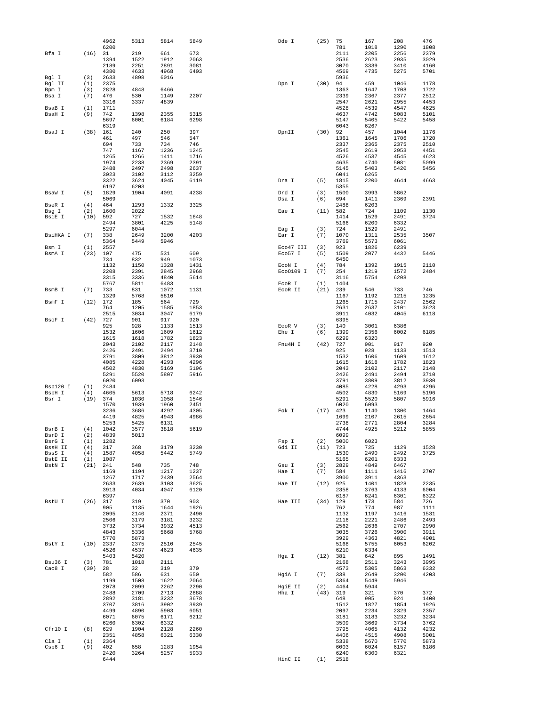|                  |             | 4962         | 5313         | 5814         | 5849         | Dde I               | (25)        | 75           | 167          | 208          | 476          |
|------------------|-------------|--------------|--------------|--------------|--------------|---------------------|-------------|--------------|--------------|--------------|--------------|
| Bfa I            | (16)        | 6200<br>31   | 219          | 661          | 673          |                     |             | 781<br>2111  | 1018<br>2205 | 1290<br>2256 | 1808<br>2379 |
|                  |             | 1394         | 1522         | 1912         | 2063         |                     |             | 2536         | 2623         | 2935         | 3029         |
|                  |             | 2189         | 2251         | 2891         | 3081         |                     |             | 3070         | 3339         | 3410         | 4160         |
|                  |             | 4380         | 4633         | 4968         | 6403         |                     |             | 4569         | 4735         | 5275         | 5701         |
| Bgl I            | (3)         | 2633         | 4898         | 6016         |              |                     |             | 5936         |              |              |              |
| Bgl II           | (1)         | 2375         |              |              |              | Dpn I               | (30)        | 94           | 459          | 1046         | 1178         |
| Bpm I            | (3)         | 2828         | 4848         | 6466         |              |                     |             | 1363         | 1647         | 1708         | 1722         |
| Bsa I            | (7)         | 476<br>3316  | 530<br>3337  | 1149<br>4839 | 2207         |                     |             | 2339<br>2547 | 2367<br>2621 | 2377<br>2955 | 2512<br>4453 |
| BsaB I           | (1)         | 1711         |              |              |              |                     |             | 4528         | 4539         | 4547         | 4625         |
| BsaH I           | (9)         | 742          | 1398         | 2355         | 5315         |                     |             | 4637         | 4742         | 5083         | 5101         |
|                  |             | 5697         | 6001         | 6184         | 6298         |                     |             | 5147         | 5405         | 5422         | 5458         |
|                  |             | 6319         |              |              |              |                     |             | 6043         | 6267         |              |              |
| BsaJ I           | (38)        | 161          | 240          | 250          | 397          | DpnII               | (30)        | 92           | 457          | 1044         | 1176         |
|                  |             | 461<br>694   | 497<br>733   | 546<br>734   | 547<br>746   |                     |             | 1361<br>2337 | 1645<br>2365 | 1706<br>2375 | 1720<br>2510 |
|                  |             | 747          | 1167         | 1236         | 1245         |                     |             | 2545         | 2619         | 2953         | 4451         |
|                  |             | 1265         | 1266         | 1411         | 1716         |                     |             | 4526         | 4537         | 4545         | 4623         |
|                  |             | 1974         | 2238         | 2369         | 2391         |                     |             | 4635         | 4740         | 5081         | 5099         |
|                  |             | 2488         | 2497         | 2498         | 2637         |                     |             | 5145         | 5403         | 5420         | 5456         |
|                  |             | 3023         | 3102         | 3112         | 3259         |                     |             | 6041         | 6265         |              |              |
|                  |             | 3322<br>6197 | 3624<br>6203 | 4045         | 6119         | Dra I               | (5)         | 1815<br>5355 | 2200         | 4644         | 4663         |
| BsaW I           | (5)         | 1829         | 1904         | 4091         | 4238         | Drd I               | (3)         | 1500         | 3993         | 5862         |              |
|                  |             | 5069         |              |              |              | Dsa I               | (6)         | 694          | 1411         | 2369         | 2391         |
| BseR I           | (4)         | 464          | 1293         | 1332         | 3325         |                     |             | 2488         | 6203         |              |              |
| Bsg I            | (2)         | 1600         | 2022         |              |              | Eae I               | (11)        | 582          | 724          | 1109         | 1130         |
| BsiE I           | (10)        | 592          | 727          | 1532         | 1648         |                     |             | 1414         | 1529         | 2491         | 3724         |
|                  |             | 2494<br>5297 | 3801<br>6044 | 4225         | 5148         | Eag I               | (3)         | 5166<br>724  | 6200<br>1529 | 6332<br>2491 |              |
| BsiHKA I         | (7)         | 338          | 2649         | 3200         | 4203         | Ear I               | (7)         | 1070         | 1311         | 2535         | 3507         |
|                  |             | 5364         | 5449         | 5946         |              |                     |             | 3769         | 5573         | 6061         |              |
| Bsm I            | (1)         | 2557         |              |              |              | Eco47 III           | (3)         | 923          | 1826         | 6239         |              |
| BsmA I           | (23)        | 107          | 475          | 531          | 609          | Eco57 I             | (5)         | 1509         | 2077         | 4432         | 5446         |
|                  |             | 734          | 832          | 949          | 1073         |                     |             | 6450         |              |              |              |
|                  |             | 1132<br>2208 | 1150<br>2391 | 1328<br>2845 | 1431<br>2968 | ECON I<br>Eco0109 I | (4)<br>(7)  | 784<br>254   | 1392<br>1219 | 1915<br>1572 | 2110<br>2484 |
|                  |             | 3315         | 3336         | 4840         | 5614         |                     |             | 3116         | 5754         | 6208         |              |
|                  |             | 5767         | 5811         | 6483         |              | EcoR I              | (1)         | 1404         |              |              |              |
| BsmB I           | (7)         | 733          | 831          | 1072         | 1131         | ECOR II             | (21)        | 239          | 546          | 733          | 746          |
|                  |             | 1329         | 5768         | 5810         |              |                     |             | 1167         | 1192         | 1215         | 1235         |
| BsmF I           | (12)        | 172          | 185          | 564          | 729          |                     |             | 1265         | 1715         | 2437         | 2562         |
|                  |             | 764<br>2515  | 1205         | 1585<br>3047 | 1853<br>6179 |                     |             | 2631<br>3911 | 2637<br>4032 | 3101<br>4045 | 3623<br>6118 |
| BsoF I           | (42)        | 727          | 3034<br>901  | 917          | 920          |                     |             | 6395         |              |              |              |
|                  |             | 925          | 928          | 1133         | 1513         | ECOR V              | (3)         | 140          | 3001         | 6386         |              |
|                  |             | 1532         | 1606         | 1609         | 1612         | Ehe I               | (6)         | 1399         | 2356         | 6002         | 6185         |
|                  |             | 1615         | 1618         | 1782         | 1823         |                     |             | 6299         | 6320         |              |              |
|                  |             | 2043         | 2102         | 2117         | 2148         | Fnu4H I             | (42)        | 727          | 901          | 917          | 920          |
|                  |             | 2426<br>3791 | 2491<br>3809 | 2494<br>3812 | 3710<br>3930 |                     |             | 925<br>1532  | 928<br>1606  | 1133<br>1609 | 1513<br>1612 |
|                  |             | 4085         | 4228         | 4293         | 4296         |                     |             | 1615         | 1618         | 1782         | 1823         |
|                  |             | 4502         | 4830         | 5169         | 5196         |                     |             | 2043         | 2102         | 2117         | 2148         |
|                  |             | 5291         | 5520         | 5807         | 5916         |                     |             | 2426         | 2491         | 2494         | 3710         |
|                  |             | 6020         | 6093         |              |              |                     |             | 3791         | 3809         | 3812         | 3930         |
| Bsp120 I         | (1)         | 2484         |              |              |              |                     |             | 4085         | 4228         | 4293         | 4296         |
| BspH I<br>Bsr I  | (4)<br>(19) | 4605<br>374  | 5613<br>1030 | 5718<br>1058 | 6242<br>1546 |                     |             | 4502<br>5291 | 4830<br>5520 | 5169<br>5807 | 5196<br>5916 |
|                  |             | 1570         | 1939         | 1960         | 2451         |                     |             | 6020         | 6093         |              |              |
|                  |             | 3236         | 3686         | 4292         | 4305         | Fok I               | (17)        | 423          | 1140         | 1300         | 1464         |
|                  |             | 4419         | 4825         | 4943         | 4986         |                     |             | 1699         | 2107         | 2615         | 2654         |
|                  |             | 5253         | 5425         | 6131         |              |                     |             | 2738         | 2771         | 2804         | 3284         |
| BsrB I<br>BsrD I | (4)<br>(2)  | 1042<br>4839 | 3577<br>5013 | 3818         | 5619         |                     |             | 4744<br>6099 | 4925         | 5212         | 5855         |
| BsrG I           | (1)         | 1282         |              |              |              | Fsp I               | (2)         | 5000         | 6023         |              |              |
| BssH II          | (4)         | 317          | 368          | 3179         | 3230         | Gdi II              | (11)        | 723          | 725          | 1129         | 1528         |
| BssS I           | (4)         | 1587         | 4058         | 5442         | 5749         |                     |             | 1530         | 2490         | 2492         | 3725         |
| BstE II          | (1)         | 1087         |              |              |              |                     |             | 5165         | 6201         | 6333         |              |
| BstN I           | (21)        | 241          | 548          | 735          | 748          | Gsu I               | (3)         | 2829         | 4849         | 6467         | 2707         |
|                  |             | 1169<br>1267 | 1194<br>1717 | 1217<br>2439 | 1237<br>2564 | Hae I               | (7)         | 584<br>3900  | 1111<br>3911 | 1416<br>4363 |              |
|                  |             | 2633         | 2639         | 3103         | 3625         | Hae II              | (12)        | 925          | 1401         | 1828         | 2235         |
|                  |             | 3913         | 4034         | 4047         | 6120         |                     |             | 2358         | 3763         | 4133         | 6004         |
|                  |             | 6397         |              |              |              |                     |             | 6187         | 6241         | 6301         | 6322         |
| BstU I           | (26)        | 317          | 319          | 370          | 903          | Hae III             | $(34)$ 129  |              | 173          | 584          | 726          |
|                  |             | 905<br>2095  | 1135<br>2140 | 1644<br>2371 | 1926<br>2490 |                     |             | 762<br>1132  | 774<br>1197  | 987<br>1416  | 1111<br>1531 |
|                  |             | 2506         | 3179         | 3181         | 3232         |                     |             | 2116         | 2221         | 2486         | 2493         |
|                  |             | 3732         | 3734         | 3932         | 4513         |                     |             | 2562         | 2636         | 2707         | 2990         |
|                  |             | 4843         | 5336         | 5668         | 5768         |                     |             | 3035         | 3726         | 3900         | 3911         |
|                  |             | 5770         | 5873         |              |              |                     |             | 3929         | 4363         | 4821         | 4901         |
| BstY I           | $(10)$ 2337 |              | 2375         | 2510         | 2545         |                     |             | 5168         | 5755         | 6053         | 6202         |
|                  |             | 4526<br>5403 | 4537<br>5420 | 4623         | 4635         | Hga I               | (12)        | 6210<br>381  | 6334<br>642  | 895          | 1491         |
| Bsu36 I          | (3)         | 781          | 1018         | 2111         |              |                     |             | 2168         | 2511         | 3243         | 3995         |
| Cac8 I           | (39)        | 28           | 32           | 319          | 370          |                     |             | 4573         | 5305         | 5863         | 6332         |
|                  |             | 582          | 586          | 631          | 650          | HgiA I              | (7)         | 338          | 2649         | 3200         | 4203         |
|                  |             | 1199         | 1508         | 1622         | 2064         |                     |             | 5364         | 5449         | 5946         |              |
|                  |             | 2078<br>2488 | 2099<br>2709 | 2262<br>2713 | 2290<br>2888 | HgiE II<br>Hha I    | (2)<br>(43) | 4464<br>319  | 5944<br>321  | 370          | 372          |
|                  |             | 2892         | 3181         | 3232         | 3678         |                     |             | 648          | 905          | 924          | 1400         |
|                  |             | 3707         | 3816         | 3902         | 3939         |                     |             | 1512         | 1827         | 1854         | 1926         |
|                  |             | 4499         | 4890         | 5903         | 6051         |                     |             | 2097         | 2234         | 2329         | 2357         |
|                  |             | 6071         | 6075         | 6171         | 6212         |                     |             | 3181         | 3183         | 3232         | 3234         |
|                  |             | 6260         | 6302         | 6332         |              |                     |             | 3509         | 3669         | 3734         | 3762         |
| Cfr10 I          | (8)         | 629<br>2351  | 1904<br>4858 | 2128<br>6321 | 2260<br>6330 |                     |             | 3795<br>4406 | 4065<br>4515 | 4132<br>4908 | 4232<br>5001 |
| Cla I            | (1)         | 2364         |              |              |              |                     |             | 5338         | 5670         | 5770         | 5873         |
| Csp6 I           | (9)         | 402          | 658          | 1283         | 1954         |                     |             | 6003         | 6024         | 6157         | 6186         |
|                  |             | 2420         | 3264         | 5257         | 5933         |                     |             | 6240         | 6300         | 6321         |              |
|                  |             | 6444         |              |              |              | HinC II             | (1)         | 2518         |              |              |              |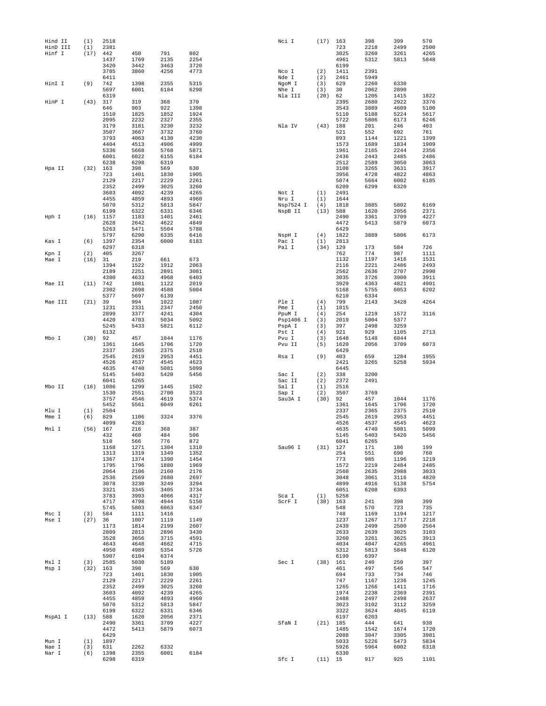| Hind II  | (1)  | 2518         |              |              |              | Nci I          | (17)       | 163          | 398          | 399          | 570          |
|----------|------|--------------|--------------|--------------|--------------|----------------|------------|--------------|--------------|--------------|--------------|
| HinD III | (1)  | 2381         |              |              |              |                |            | 723          | 2218         | 2499         | 2500         |
| Hinf I   | (17) | 442          | 450          | 791          | 802          |                |            | 3025         | 3260         | 3261         | 4265         |
|          |      | 1437         | 1769         | 2135         | 2254         |                |            | 4961         | 5312         | 5813         | 5848         |
|          |      | 3420<br>3785 | 3442<br>3860 | 3463<br>4256 | 3720<br>4773 |                | (2)        | 6199<br>1411 | 2391         |              |              |
|          |      | 6411         |              |              |              | Nco I<br>Nde I | (2)        | 2461         | 5949         |              |              |
| HinI I   | (9)  | 742          | 1398         | 2355         | 5315         | NgoM I         | (3)        | 629          | 2260         | 6330         |              |
|          |      | 5697         | 6001         | 6184         | 6298         | Nhe I          | (3)        | 30           | 2062         | 2890         |              |
|          |      | 6319         |              |              |              | Nla III        | (20)       | 62           | 1205         | 1415         | 1822         |
| HinP I   | (43) | 317          | 319          | 368          | 370          |                |            | 2395         | 2680         | 2922         | 3376         |
|          |      | 646          | 903          | 922          | 1398         |                |            | 3543         | 3889         | 4609         | 5100         |
|          |      | 1510         | 1825         | 1852         | 1924         |                |            | 5110         | 5188         | 5224         | 5617         |
|          |      | 2095         | 2232         | 2327         | 2355         |                |            | 5722         | 5806         | 6173         | 6246         |
|          |      | 3179         | 3181         | 3230         | 3232         | Nla IV         | (43)       | 188          | 201          | 246          | 403          |
|          |      | 3507         | 3667         | 3732         | 3760         |                |            | 521          | 552          | 692          | 761          |
|          |      | 3793         | 4063         | 4130         | 4230         |                |            | 893          | 1144         | 1221         | 1399         |
|          |      | 4404         | 4513         | 4906         | 4999         |                |            | 1573         | 1689         | 1834         | 1909         |
|          |      | 5336         | 5668         | 5768         | 5871         |                |            | 1961         | 2165         | 2244         | 2356         |
|          |      | 6001         | 6022         | 6155         | 6184         |                |            | 2436         | 2443         | 2485         | 2486         |
|          |      | 6238         | 6298         | 6319         |              |                |            | 2512         | 2589         | 3050         | 3063         |
| Hpa II   | (32) | 163          | 398          | 569          | 630          |                |            | 3108         | 3265         | 3631         | 3917         |
|          |      | 723          | 1401         | 1830         | 1905         |                |            | 3956         | 4728         | 4822         | 4863         |
|          |      | 2129         | 2217         | 2229         | 2261         |                |            | 5074         | 5664         | 6002         | 6185         |
|          |      | 2352         | 2499<br>4092 | 3025         | 3260<br>4265 |                |            | 6209<br>2491 | 6299         | 6320         |              |
|          |      | 3603<br>4455 | 4859         | 4239<br>4893 | 4960         | Not I<br>Nru I | (1)<br>(1) | 1644         |              |              |              |
|          |      | 5070         | 5312         | 5813         | 5847         | Nsp7524 I      | (4)        | 1818         | 3885         | 5802         | 6169         |
|          |      | 6199         | 6322         | 6331         | 6346         | NspB II        | (13)       | 588          | 1620         | 2056         | 2371         |
| Hph I    |      | $(16)$ 1157  | 1183         | 1401         | 2461         |                |            | 2490         | 3361         | 3709         | 4227         |
|          |      | 2628         | 2642         | 4622         | 4849         |                |            | 4472         | 5413         | 5879         | 6073         |
|          |      | 5263         | 5471         | 5504         | 5788         |                |            | 6429         |              |              |              |
|          |      | 5797         | 6290         | 6335         | 6416         | NspH I         | (4)        | 1822         | 3889         | 5806         | 6173         |
| Kas I    | (6)  | 1397         | 2354         | 6000         | 6183         | Pac I          | (1)        | 2813         |              |              |              |
|          |      | 6297         | 6318         |              |              | Pal I          | (34)       | 129          | 173          | 584          | 726          |
| Kpn I    | (2)  | 405          | 3267         |              |              |                |            | 762          | 774          | 987          | 1111         |
| Mae I    | (16) | 31           | 219          | 661          | 673          |                |            | 1132         | 1197         | 1416         | 1531         |
|          |      | 1394         | 1522         | 1912         | 2063         |                |            | 2116         | 2221         | 2486         | 2493         |
|          |      | 2189         | 2251         | 2891         | 3081         |                |            | 2562         | 2636         | 2707         | 2990         |
|          |      | 4380         | 4633         | 4968         | 6403         |                |            | 3035         | 3726         | 3900         | 3911         |
| Mae II   | (11) | 742          | 1081         | 1122         | 2019         |                |            | 3929         | 4363         | 4821         | 4901         |
|          |      | 2302         | 2698         | 4588         | 5004         |                |            | 5168         | 5755         | 6053         | 6202         |
|          |      | 5377         | 5697         | 6139         |              |                |            | 6210         | 6334         |              |              |
| Mae III  | (21) | 39           | 994          | 1022         | 1087         | Ple I          | (4)        | 799          | 2143         | 3428         | 4264         |
|          |      | 1231         | 2331         | 2347         | 2450         | Pme I          | (1)        | 1815         |              |              |              |
|          |      | 2899         | 3377         | 4241         | 4304         | PpuM I         | (4)        | 254          | 1219         | 1572         | 3116         |
|          |      | 4420         | 4703         | 5034         | 5092         | Psp1406 I      | (3)        | 2019         | 5004         | 5377         |              |
|          |      | 5245         | 5433         | 5821         | 6112         | PspA I         | (3)        | 397          | 2498         | 3259         |              |
|          |      | 6132         |              |              |              | Pst I          | (4)        | 921          | 929          | 1105         | 2713         |
| Mbo I    | (30) | 92           | 457          | 1044         | 1176         | Pvu I          | (3)        | 1648         | 5148         | 6044         |              |
|          |      | 1361<br>2337 | 1645         | 1706<br>2375 | 1720<br>2510 | Pvu II         | (5)        | 1620<br>6429 | 2056         | 3709         | 6073         |
|          |      |              | 2365         |              |              |                |            |              |              |              |              |
|          |      | 2545<br>4526 | 2619         | 2953<br>4545 | 4451<br>4623 | Rsa I          | (9)        | 403<br>2421  | 659          | 1284<br>5258 | 1955<br>5934 |
|          |      | 4635         | 4537<br>4740 | 5081         | 5099         |                |            | 6445         | 3265         |              |              |
|          |      | 5145         | 5403         | 5420         | 5456         | Sac I          | (2)        | 338          | 3200         |              |              |
|          |      | 6041         | 6265         |              |              | Sac II         | (2)        | 2372         | 2491         |              |              |
| Mbo II   |      | $(16)$ 1086  | 1299         | 1445         | 1502         | Sal I          | (1)        | 2516         |              |              |              |
|          |      | 1530         | 2551         | 2700         | 3523         | Sap I          | (2)        | 3507         | 3769         |              |              |
|          |      | 3757         | 4546         | 4619         | 5374         | Sau3A I        | (30)       | 92           | 457          | 1044         | 1176         |
|          |      | 5452         | 5561         | 6049         | 6261         |                |            | 1361         | 1645         | 1706         | 1720         |
| Mlu I    | (1)  | 2504         |              |              |              |                |            | 2337         | 2365         | 2375         | 2510         |
| Mme I    | (6)  | 829          | 1106         | 3324         | 3376         |                |            | 2545         | 2619         | 2953         | 4451         |
|          |      | 4099         | 4283         |              |              |                |            | 4526         | 4537         | 4545         | 4623         |
| Mnl I    | (56) | 167          | 216          | 368          | 387          |                |            | 4635         | 4740         | 5081         | 5099         |
|          |      | 432          | 460          | 484          | 506          |                |            | 5145         | 5403         | 5420         | 5456         |
|          |      | 510          | 566          | 776          | 872          |                |            | 6041         | 6265         |              |              |
|          |      | 1168         | 1271         | 1304         | 1310         | Sau96 I        | (31)       | 127          | 171          | 186          | 199          |
|          |      | 1313         | 1319         | 1349         | 1352         |                |            | 254          | 551          | 690          | 760          |
|          |      | 1367         | 1374         | 1390         | 1454         |                |            | 773          | 985          | 1196         | 1219         |
|          |      | 1795         | 1796         | 1880         | 1969         |                |            | 1572         | 2219         | 2484         | 2485         |
|          |      | 2064         | 2106         | 2160         | 2176         |                |            | 2560         | 2635         | 2988         | 3033         |
|          |      | 2536<br>3078 | 2569<br>3230 | 2680<br>3249 | 2697<br>3294 |                |            | 3048<br>4899 | 3061<br>4916 | 3116<br>5138 | 4820<br>5754 |
|          |      | 3321         | 3345         | 3405         | 3734         |                |            | 6051         | 6208         | 6393         |              |
|          |      | 3783         | 3993         | 4066         | 4317         | Sca I          | (1)        | 5258         |              |              |              |
|          |      | 4717         | 4798         | 4944         | 5150         | ScrF I         | (38)       | 163          | 241          | 398          | 399          |
|          |      | 5745         | 5803         | 6063         | 6347         |                |            | 548          | 570          | 723          | 735          |
| Msc I    | (3)  | 584          | 1111         | 1416         |              |                |            | 748          | 1169         | 1194         | 1217         |
| Mse I    | (27) | 36           | 1007         | 1119         | 1149         |                |            | 1237         | 1267         | 1717         | 2218         |
|          |      | 1173         | 1814         | 2199         | 2607         |                |            | 2439         | 2499         | 2500         | 2564         |
|          |      | 2809         | 2813         | 2896         | 3430         |                |            | 2633         | 2639         | 3025         | 3103         |
|          |      | 3528         | 3656         | 3715         | 4591         |                |            | 3260         | 3261         | 3625         | 3913         |
|          |      | 4643         | 4648         | 4662         | 4715         |                |            | 4034         | 4047         | 4265         | 4961         |
|          |      | 4950         | 4989         | 5354         | 5726         |                |            | 5312         | 5813         | 5848         | 6120         |
|          |      | 5907         | 6104         | 6374         |              |                |            | 6199         | 6397         |              |              |
| Msl I    | (3)  | 2585         | 5030         | 5189         |              | Sec I          | (38)       | 161          | 240          | 250          | 397          |
| Msp I    | (32) | 163          | 398          | 569          | 630          |                |            | 461          | 497          | 546          | 547          |
|          |      | 723          | 1401         | 1830         | 1905         |                |            | 694          | 733          | 734          | 746          |
|          |      | 2129         | 2217         | 2229         | 2261         |                |            | 747          | 1167         | 1236         | 1245         |
|          |      | 2352         | 2499         | 3025         | 3260         |                |            | 1265         | 1266         | 1411         | 1716         |
|          |      | 3603         | 4092         | 4239         | 4265         |                |            | 1974         | 2238         | 2369         | 2391         |
|          |      | 4455         | 4859         | 4893         | 4960         |                |            | 2488         | 2497         | 2498         | 2637         |
|          |      | 5070         | 5312         | 5813         | 5847         |                |            | 3023         | 3102         | 3112         | 3259         |
|          |      | 6199         | 6322         | 6331         | 6346         |                |            | 3322         | 3624         | 4045         | 6119         |
| MspA1 I  | (13) | 588          | 1620         | 2056         | 2371         |                |            | 6197         | 6203         |              |              |
|          |      | 2490<br>4472 | 3361         | 3709         | 4227         | SfaN I         | $(21)$ 185 | 1485         | 444          | 641          | 938<br>1720  |
|          |      | 6429         | 5413         | 5879         | 6073         |                |            | 2088         | 1542<br>3047 | 1674<br>3305 | 3981         |
| Mun I    | (1)  | 1897         |              |              |              |                |            | 5033         | 5226         | 5473         | 5834         |
| Nae I    | (3)  | 631          | 2262         | 6332         |              |                |            | 5926         | 5964         | 6002         | 6318         |
| Nar I    | (6)  | 1398         | 2355         | 6001         | 6184         |                |            | 6330         |              |              |              |
|          |      | 6298         | 6319         |              |              | Sfc I          | $(11)$ 15  |              | 917          | 925          | 1101         |
|          |      |              |              |              |              |                |            |              |              |              |              |